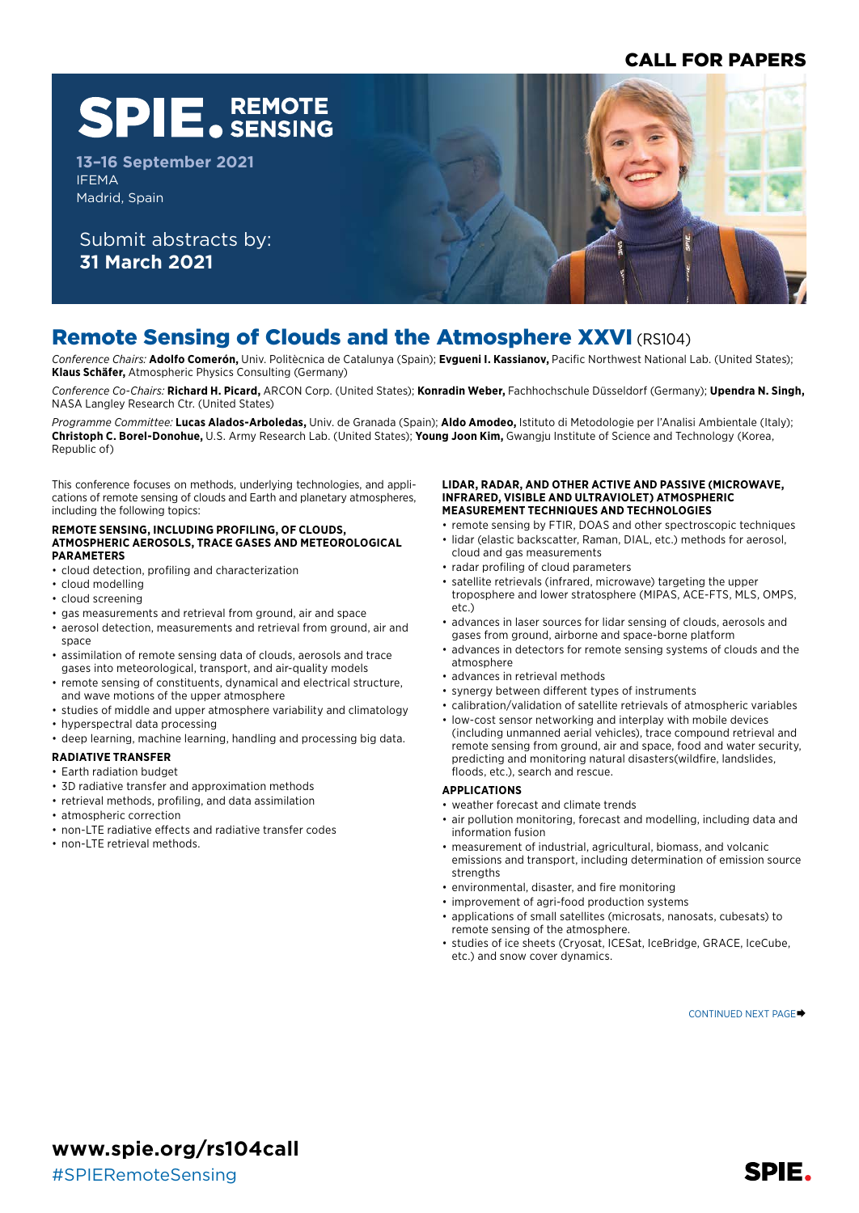## CALL FOR PAPERS

# **SPIE. REMOTE**

**13–16 September 2021** IFEMA Madrid, Spain

Submit abstracts by: **31 March 2021**



# Remote Sensing of Clouds and the Atmosphere XXVI (RS104)

*Conference Chairs:* **Adolfo Comerón,** Univ. Politècnica de Catalunya (Spain); **Evgueni I. Kassianov,** Pacific Northwest National Lab. (United States); **Klaus Schäfer,** Atmospheric Physics Consulting (Germany)

*Conference Co-Chairs:* **Richard H. Picard,** ARCON Corp. (United States); **Konradin Weber,** Fachhochschule Düsseldorf (Germany); **Upendra N. Singh,**  NASA Langley Research Ctr. (United States)

*Programme Committee:* **Lucas Alados-Arboledas,** Univ. de Granada (Spain); **Aldo Amodeo,** Istituto di Metodologie per l'Analisi Ambientale (Italy); **Christoph C. Borel-Donohue,** U.S. Army Research Lab. (United States); **Young Joon Kim,** Gwangju Institute of Science and Technology (Korea, Republic of)

This conference focuses on methods, underlying technologies, and applications of remote sensing of clouds and Earth and planetary atmospheres, including the following topics:

#### **REMOTE SENSING, INCLUDING PROFILING, OF CLOUDS, ATMOSPHERIC AEROSOLS, TRACE GASES AND METEOROLOGICAL PARAMETERS**

- cloud detection, profiling and characterization
- cloud modelling
- cloud screening
- gas measurements and retrieval from ground, air and space
- aerosol detection, measurements and retrieval from ground, air and space
- assimilation of remote sensing data of clouds, aerosols and trace gases into meteorological, transport, and air-quality models
- remote sensing of constituents, dynamical and electrical structure, and wave motions of the upper atmosphere
- studies of middle and upper atmosphere variability and climatology
- hyperspectral data processing
- deep learning, machine learning, handling and processing big data.

#### **RADIATIVE TRANSFER**

#### • Earth radiation budget

- 3D radiative transfer and approximation methods
- retrieval methods, profiling, and data assimilation
- atmospheric correction
- non-LTE radiative effects and radiative transfer codes
- non-LTE retrieval methods.

#### **LIDAR, RADAR, AND OTHER ACTIVE AND PASSIVE (MICROWAVE, INFRARED, VISIBLE AND ULTRAVIOLET) ATMOSPHERIC MEASUREMENT TECHNIQUES AND TECHNOLOGIES**

- remote sensing by FTIR, DOAS and other spectroscopic techniques • lidar (elastic backscatter, Raman, DIAL, etc.) methods for aerosol,
- cloud and gas measurements
- radar profiling of cloud parameters
- satellite retrievals (infrared, microwave) targeting the upper troposphere and lower stratosphere (MIPAS, ACE-FTS, MLS, OMPS, etc.)
- advances in laser sources for lidar sensing of clouds, aerosols and gases from ground, airborne and space-borne platform
- advances in detectors for remote sensing systems of clouds and the atmosphere
- advances in retrieval methods
- synergy between different types of instruments
- calibration/validation of satellite retrievals of atmospheric variables
- low-cost sensor networking and interplay with mobile devices (including unmanned aerial vehicles), trace compound retrieval and remote sensing from ground, air and space, food and water security, predicting and monitoring natural disasters(wildfire, landslides, floods, etc.), search and rescue.

#### **APPLICATIONS**

- weather forecast and climate trends
- air pollution monitoring, forecast and modelling, including data and information fusion
- measurement of industrial, agricultural, biomass, and volcanic emissions and transport, including determination of emission source strengths
- environmental, disaster, and fire monitoring
- improvement of agri-food production systems
- applications of small satellites (microsats, nanosats, cubesats) to remote sensing of the atmosphere.
- studies of ice sheets (Cryosat, ICESat, IceBridge, GRACE, IceCube, etc.) and snow cover dynamics.

CONTINUED NEXT PAGE